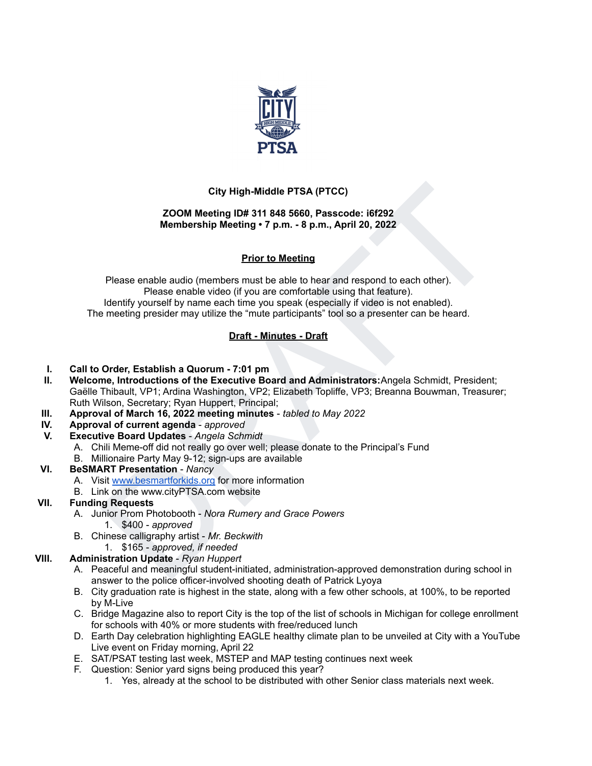

# **City High-Middle PTSA (PTCC)**

#### **ZOOM Meeting ID# 311 848 5660, Passcode: i6f292 Membership Meeting • 7 p.m. - 8 p.m., April 20, 2022**

## **Prior to Meeting**

City High-Middle PTSA (PTCC)<br>
ZOOM Meeting ID# 311 848 5660, Passcode: i6f292<br>
Membership Meeting -7 p.m. - 8 p.m, April 20, 2022<br>
Prior to Meeting<br>
Piease enable audio (members must be able to hear and respond to each ot Please enable audio (members must be able to hear and respond to each other). Please enable video (if you are comfortable using that feature). Identify yourself by name each time you speak (especially if video is not enabled). The meeting presider may utilize the "mute participants" tool so a presenter can be heard.

## **Draft - Minutes - Draft**

- **I. Call to Order, Establish a Quorum - 7:01 pm**
- **II. Welcome, Introductions of the Executive Board and Administrators:**Angela Schmidt, President; Gaëlle Thibault, VP1; Ardina Washington, VP2; Elizabeth Topliffe, VP3; Breanna Bouwman, Treasurer; Ruth Wilson, Secretary; Ryan Huppert, Principal;
- **III. Approval of March 16, 2022 meeting minutes** *tabled to May 2022*
- **IV. Approval of current agenda** *approved*
- **V. Executive Board Updates** *Angela Schmidt*
	- A. Chili Meme-off did not really go over well; please donate to the Principal's Fund
	- B. Millionaire Party May 9-12; sign-ups are available

#### **VI. BeSMART Presentation** - *Nancy*

- A. Visit www.besmartforkids.org for more information
- B. Link on the www.cityPTSA.com website

#### **VII. Funding Requests**

- A. Junior Prom Photobooth *Nora Rumery and Grace Powers* 1. \$400 - *approved*
- B. Chinese calligraphy artist *Mr. Beckwith*
	- 1. \$165 *approved, if needed*

#### **VIII. Administration Update** - *Ryan Huppert*

- A. Peaceful and meaningful student-initiated, administration-approved demonstration during school in answer to the police officer-involved shooting death of Patrick Lyoya
- B. City graduation rate is highest in the state, along with a few other schools, at 100%, to be reported by M-Live
- C. Bridge Magazine also to report City is the top of the list of schools in Michigan for college enrollment for schools with 40% or more students with free/reduced lunch
- D. Earth Day celebration highlighting EAGLE healthy climate plan to be unveiled at City with a YouTube Live event on Friday morning, April 22
- E. SAT/PSAT testing last week, MSTEP and MAP testing continues next week
- F. Question: Senior yard signs being produced this year?
	- 1. Yes, already at the school to be distributed with other Senior class materials next week.